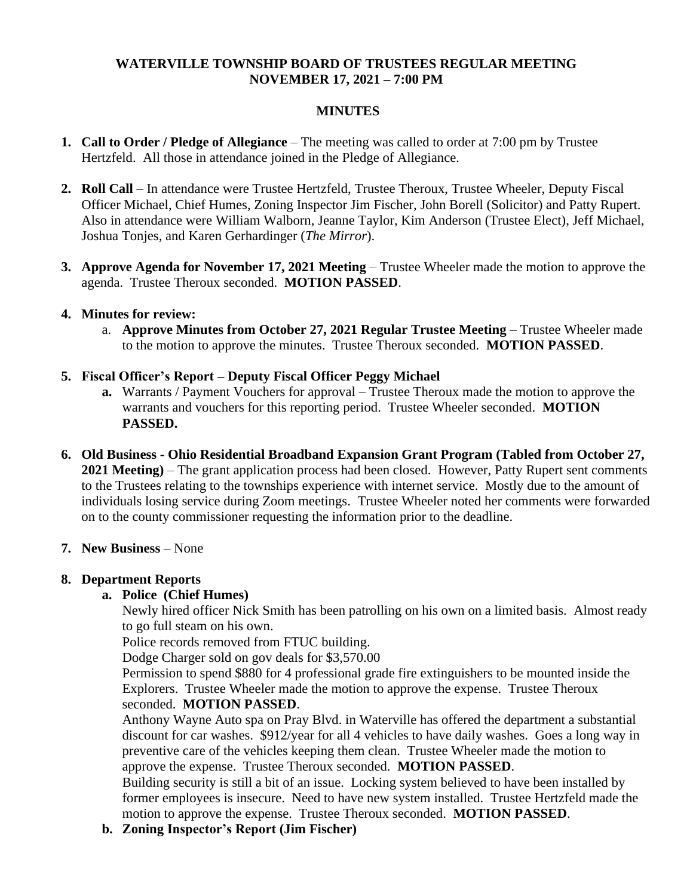#### **WATERVILLE TOWNSHIP BOARD OF TRUSTEES REGULAR MEETING NOVEMBER 17, 2021 – 7:00 PM**

#### **MINUTES**

- **1. Call to Order / Pledge of Allegiance** The meeting was called to order at 7:00 pm by Trustee Hertzfeld. All those in attendance joined in the Pledge of Allegiance.
- **2. Roll Call** In attendance were Trustee Hertzfeld, Trustee Theroux, Trustee Wheeler, Deputy Fiscal Officer Michael, Chief Humes, Zoning Inspector Jim Fischer, John Borell (Solicitor) and Patty Rupert. Also in attendance were William Walborn, Jeanne Taylor, Kim Anderson (Trustee Elect), Jeff Michael, Joshua Tonjes, and Karen Gerhardinger (*The Mirror*).
- **3. Approve Agenda for November 17, 2021 Meeting** Trustee Wheeler made the motion to approve the agenda. Trustee Theroux seconded. **MOTION PASSED**.

#### **4. Minutes for review:**

a. **Approve Minutes from October 27, 2021 Regular Trustee Meeting** – Trustee Wheeler made to the motion to approve the minutes. Trustee Theroux seconded. **MOTION PASSED**.

#### **5. Fiscal Officer's Report – Deputy Fiscal Officer Peggy Michael**

- **a.** Warrants / Payment Vouchers for approval Trustee Theroux made the motion to approve the warrants and vouchers for this reporting period. Trustee Wheeler seconded. **MOTION PASSED.**
- **6. Old Business - Ohio Residential Broadband Expansion Grant Program (Tabled from October 27, 2021 Meeting)** – The grant application process had been closed. However, Patty Rupert sent comments to the Trustees relating to the townships experience with internet service. Mostly due to the amount of individuals losing service during Zoom meetings. Trustee Wheeler noted her comments were forwarded on to the county commissioner requesting the information prior to the deadline.
- **7. New Business** None

### **8. Department Reports**

### **a. Police (Chief Humes)**

Newly hired officer Nick Smith has been patrolling on his own on a limited basis. Almost ready to go full steam on his own.

Police records removed from FTUC building.

Dodge Charger sold on gov deals for \$3,570.00

Permission to spend \$880 for 4 professional grade fire extinguishers to be mounted inside the Explorers. Trustee Wheeler made the motion to approve the expense. Trustee Theroux seconded. **MOTION PASSED**.

Anthony Wayne Auto spa on Pray Blvd. in Waterville has offered the department a substantial discount for car washes. \$912/year for all 4 vehicles to have daily washes. Goes a long way in preventive care of the vehicles keeping them clean. Trustee Wheeler made the motion to approve the expense. Trustee Theroux seconded. **MOTION PASSED**.

Building security is still a bit of an issue. Locking system believed to have been installed by former employees is insecure. Need to have new system installed. Trustee Hertzfeld made the motion to approve the expense. Trustee Theroux seconded. **MOTION PASSED**.

**b. Zoning Inspector's Report (Jim Fischer)**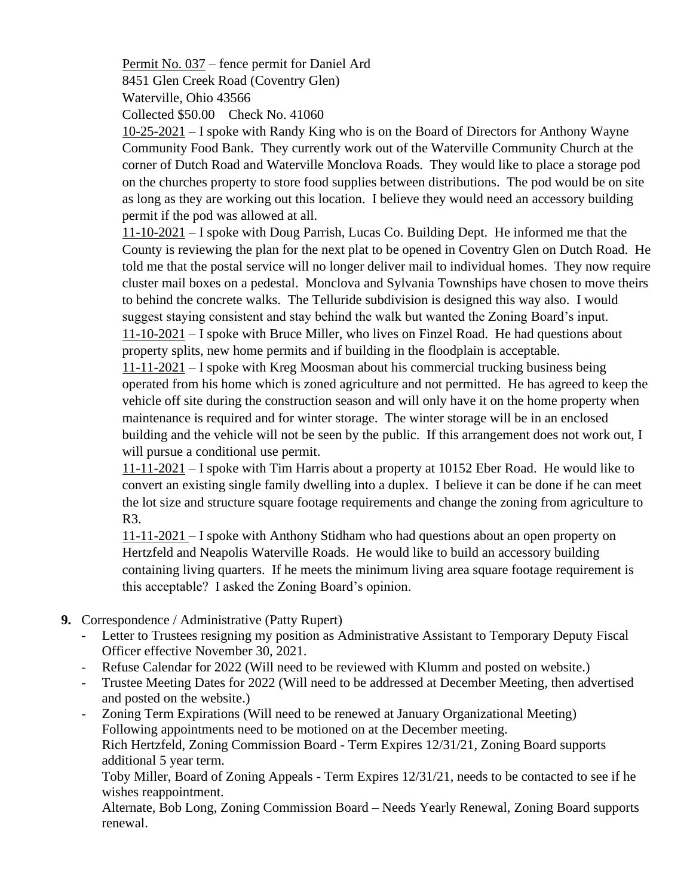Permit No. 037 – fence permit for Daniel Ard 8451 Glen Creek Road (Coventry Glen)

Waterville, Ohio 43566

Collected \$50.00 Check No. 41060

10-25-2021 – I spoke with Randy King who is on the Board of Directors for Anthony Wayne Community Food Bank. They currently work out of the Waterville Community Church at the corner of Dutch Road and Waterville Monclova Roads. They would like to place a storage pod on the churches property to store food supplies between distributions. The pod would be on site as long as they are working out this location. I believe they would need an accessory building permit if the pod was allowed at all.

11-10-2021 – I spoke with Doug Parrish, Lucas Co. Building Dept. He informed me that the County is reviewing the plan for the next plat to be opened in Coventry Glen on Dutch Road. He told me that the postal service will no longer deliver mail to individual homes. They now require cluster mail boxes on a pedestal. Monclova and Sylvania Townships have chosen to move theirs to behind the concrete walks. The Telluride subdivision is designed this way also. I would suggest staying consistent and stay behind the walk but wanted the Zoning Board's input. 11-10-2021 – I spoke with Bruce Miller, who lives on Finzel Road. He had questions about property splits, new home permits and if building in the floodplain is acceptable.

11-11-2021 – I spoke with Kreg Moosman about his commercial trucking business being operated from his home which is zoned agriculture and not permitted. He has agreed to keep the vehicle off site during the construction season and will only have it on the home property when maintenance is required and for winter storage. The winter storage will be in an enclosed building and the vehicle will not be seen by the public. If this arrangement does not work out, I will pursue a conditional use permit.

11-11-2021 – I spoke with Tim Harris about a property at 10152 Eber Road. He would like to convert an existing single family dwelling into a duplex. I believe it can be done if he can meet the lot size and structure square footage requirements and change the zoning from agriculture to R3.

11-11-2021 – I spoke with Anthony Stidham who had questions about an open property on Hertzfeld and Neapolis Waterville Roads. He would like to build an accessory building containing living quarters. If he meets the minimum living area square footage requirement is this acceptable? I asked the Zoning Board's opinion.

- **9.** Correspondence / Administrative (Patty Rupert)
	- Letter to Trustees resigning my position as Administrative Assistant to Temporary Deputy Fiscal Officer effective November 30, 2021.
	- Refuse Calendar for 2022 (Will need to be reviewed with Klumm and posted on website.)
	- Trustee Meeting Dates for 2022 (Will need to be addressed at December Meeting, then advertised and posted on the website.)
	- Zoning Term Expirations (Will need to be renewed at January Organizational Meeting) Following appointments need to be motioned on at the December meeting. Rich Hertzfeld, Zoning Commission Board - Term Expires 12/31/21, Zoning Board supports additional 5 year term.

Toby Miller, Board of Zoning Appeals - Term Expires 12/31/21, needs to be contacted to see if he wishes reappointment.

Alternate, Bob Long, Zoning Commission Board – Needs Yearly Renewal, Zoning Board supports renewal.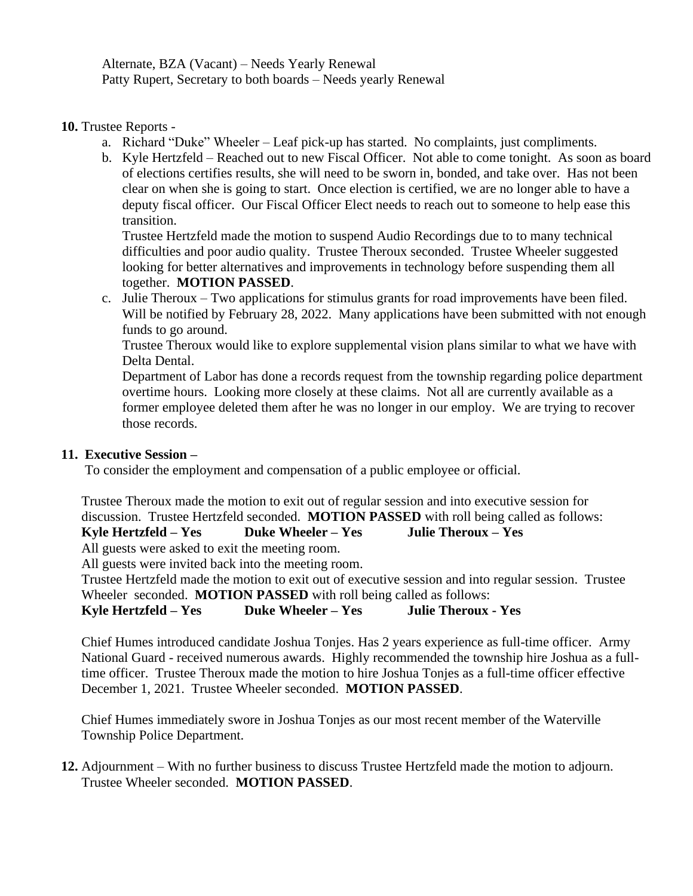Alternate, BZA (Vacant) – Needs Yearly Renewal Patty Rupert, Secretary to both boards – Needs yearly Renewal

**10.** Trustee Reports -

- a. Richard "Duke" Wheeler Leaf pick-up has started. No complaints, just compliments.
- b. Kyle Hertzfeld Reached out to new Fiscal Officer. Not able to come tonight. As soon as board of elections certifies results, she will need to be sworn in, bonded, and take over. Has not been clear on when she is going to start. Once election is certified, we are no longer able to have a deputy fiscal officer. Our Fiscal Officer Elect needs to reach out to someone to help ease this transition.

Trustee Hertzfeld made the motion to suspend Audio Recordings due to to many technical difficulties and poor audio quality. Trustee Theroux seconded. Trustee Wheeler suggested looking for better alternatives and improvements in technology before suspending them all together. **MOTION PASSED**.

c. Julie Theroux – Two applications for stimulus grants for road improvements have been filed. Will be notified by February 28, 2022. Many applications have been submitted with not enough funds to go around.

Trustee Theroux would like to explore supplemental vision plans similar to what we have with Delta Dental.

Department of Labor has done a records request from the township regarding police department overtime hours. Looking more closely at these claims. Not all are currently available as a former employee deleted them after he was no longer in our employ. We are trying to recover those records.

## **11. Executive Session –**

To consider the employment and compensation of a public employee or official.

Trustee Theroux made the motion to exit out of regular session and into executive session for discussion. Trustee Hertzfeld seconded. **MOTION PASSED** with roll being called as follows:

**Kyle Hertzfeld – Yes Duke Wheeler – Yes Julie Theroux – Yes**

All guests were asked to exit the meeting room.

All guests were invited back into the meeting room.

Trustee Hertzfeld made the motion to exit out of executive session and into regular session. Trustee Wheeler seconded. **MOTION PASSED** with roll being called as follows:

**Kyle Hertzfeld – Yes Duke Wheeler – Yes Julie Theroux - Yes**

Chief Humes introduced candidate Joshua Tonjes. Has 2 years experience as full-time officer. Army National Guard - received numerous awards. Highly recommended the township hire Joshua as a fulltime officer. Trustee Theroux made the motion to hire Joshua Tonjes as a full-time officer effective December 1, 2021. Trustee Wheeler seconded. **MOTION PASSED**.

Chief Humes immediately swore in Joshua Tonjes as our most recent member of the Waterville Township Police Department.

**12.** Adjournment – With no further business to discuss Trustee Hertzfeld made the motion to adjourn. Trustee Wheeler seconded. **MOTION PASSED**.